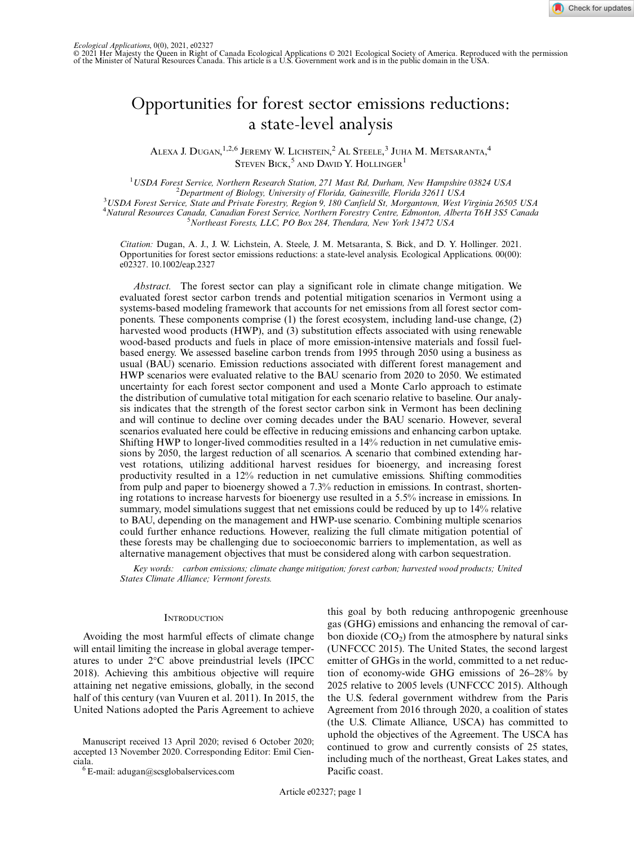

# Opportunities for forest sector emissions reductions: a state-level analysis

Alexa J. Dugan, <sup>1,2,6</sup> Jeremy W. Lichstein, <sup>2</sup> Al Steele, <sup>3</sup> Juha M. Metsaranta, <sup>4</sup> STEVEN  $\operatorname{Bick} , ^5$  and David Y. Hollinger $^1$ 

<sup>1</sup>USDA Forest Service, Northern Research Station, 271 Mast Rd, Durham, New Hampshire 03824 USA<br><sup>2</sup> Department of Pielecu, University of Florida, Gaineaville, Florida 22611 USA  $^{2}$ Department of Biology, University of Florida, Gainesville, Florida 32611 USA USDA Forest Service, State and Private Forestry, Region 9, 180 Canfield St, Morgantown, West Virginia 26505 USA <sup>4</sup>Natural Resources Canada, Canadian Forest Service, Northern Forestry Centre, Edmonton, Alberta T6H 3S5 Canada<br>5 Novthegat Forests, LLC, BO Box 384, Therdara, Nov, York 13472 US A Northeast Forests, LLC, PO Box 284, Thendara, New York 13472 USA

Citation: Dugan, A. J., J. W. Lichstein, A. Steele, J. M. Metsaranta, S. Bick, and D. Y. Hollinger. 2021. Opportunities for forest sector emissions reductions: a state-level analysis. Ecological Applications. 00(00): e02327. 10.1002/eap.2327

Abstract. The forest sector can play a significant role in climate change mitigation. We evaluated forest sector carbon trends and potential mitigation scenarios in Vermont using a systems-based modeling framework that accounts for net emissions from all forest sector components. These components comprise (1) the forest ecosystem, including land-use change, (2) harvested wood products (HWP), and (3) substitution effects associated with using renewable wood-based products and fuels in place of more emission-intensive materials and fossil fuelbased energy. We assessed baseline carbon trends from 1995 through 2050 using a business as usual (BAU) scenario. Emission reductions associated with different forest management and HWP scenarios were evaluated relative to the BAU scenario from 2020 to 2050. We estimated uncertainty for each forest sector component and used a Monte Carlo approach to estimate the distribution of cumulative total mitigation for each scenario relative to baseline. Our analysis indicates that the strength of the forest sector carbon sink in Vermont has been declining and will continue to decline over coming decades under the BAU scenario. However, several scenarios evaluated here could be effective in reducing emissions and enhancing carbon uptake. Shifting HWP to longer-lived commodities resulted in a 14% reduction in net cumulative emissions by 2050, the largest reduction of all scenarios. A scenario that combined extending harvest rotations, utilizing additional harvest residues for bioenergy, and increasing forest productivity resulted in a 12% reduction in net cumulative emissions. Shifting commodities from pulp and paper to bioenergy showed a 7.3% reduction in emissions. In contrast, shortening rotations to increase harvests for bioenergy use resulted in a 5.5% increase in emissions. In summary, model simulations suggest that net emissions could be reduced by up to 14% relative to BAU, depending on the management and HWP-use scenario. Combining multiple scenarios could further enhance reductions. However, realizing the full climate mitigation potential of these forests may be challenging due to socioeconomic barriers to implementation, as well as alternative management objectives that must be considered along with carbon sequestration.

Key words: carbon emissions; climate change mitigation; forest carbon; harvested wood products; United States Climate Alliance; Vermont forests.

## **INTRODUCTION**

Avoiding the most harmful effects of climate change will entail limiting the increase in global average temperatures to under 2°C above preindustrial levels (IPCC 2018). Achieving this ambitious objective will require attaining net negative emissions, globally, in the second half of this century (van Vuuren et al. 2011). In 2015, the United Nations adopted the Paris Agreement to achieve

ciala. <sup>6</sup> E-mail: [adugan@scsglobalservices.com](mailto:)

this goal by both reducing anthropogenic greenhouse gas (GHG) emissions and enhancing the removal of carbon dioxide  $(CO_2)$  from the atmosphere by natural sinks (UNFCCC 2015). The United States, the second largest emitter of GHGs in the world, committed to a net reduction of economy-wide GHG emissions of 26–28% by 2025 relative to 2005 levels (UNFCCC 2015). Although the U.S. federal government withdrew from the Paris Agreement from 2016 through 2020, a coalition of states (the U.S. Climate Alliance, USCA) has committed to uphold the objectives of the Agreement. The USCA has continued to grow and currently consists of 25 states, including much of the northeast, Great Lakes states, and Pacific coast.

Manuscript received 13 April 2020; revised 6 October 2020; accepted 13 November 2020. Corresponding Editor: Emil Cien-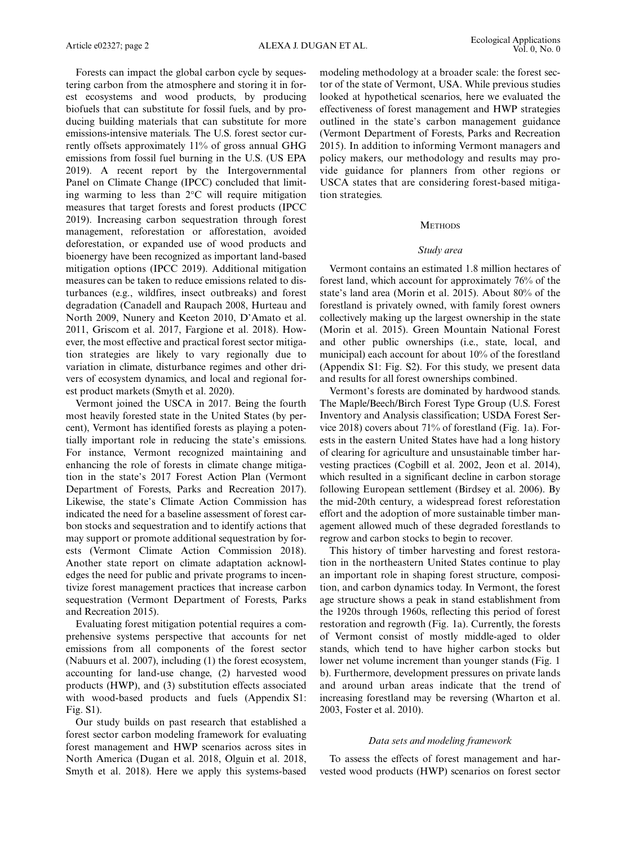Forests can impact the global carbon cycle by sequestering carbon from the atmosphere and storing it in forest ecosystems and wood products, by producing biofuels that can substitute for fossil fuels, and by producing building materials that can substitute for more emissions-intensive materials. The U.S. forest sector currently offsets approximately 11% of gross annual GHG emissions from fossil fuel burning in the U.S. (US EPA 2019). A recent report by the Intergovernmental Panel on Climate Change (IPCC) concluded that limiting warming to less than 2°C will require mitigation measures that target forests and forest products (IPCC 2019). Increasing carbon sequestration through forest management, reforestation or afforestation, avoided deforestation, or expanded use of wood products and bioenergy have been recognized as important land-based mitigation options (IPCC 2019). Additional mitigation measures can be taken to reduce emissions related to disturbances (e.g., wildfires, insect outbreaks) and forest degradation (Canadell and Raupach 2008, Hurteau and North 2009, Nunery and Keeton 2010, D'Amato et al. 2011, Griscom et al. 2017, Fargione et al. 2018). However, the most effective and practical forest sector mitigation strategies are likely to vary regionally due to variation in climate, disturbance regimes and other drivers of ecosystem dynamics, and local and regional forest product markets (Smyth et al. 2020).

Vermont joined the USCA in 2017. Being the fourth most heavily forested state in the United States (by percent), Vermont has identified forests as playing a potentially important role in reducing the state's emissions. For instance, Vermont recognized maintaining and enhancing the role of forests in climate change mitigation in the state's 2017 Forest Action Plan (Vermont Department of Forests, Parks and Recreation 2017). Likewise, the state's Climate Action Commission has indicated the need for a baseline assessment of forest carbon stocks and sequestration and to identify actions that may support or promote additional sequestration by forests (Vermont Climate Action Commission 2018). Another state report on climate adaptation acknowledges the need for public and private programs to incentivize forest management practices that increase carbon sequestration (Vermont Department of Forests, Parks and Recreation 2015).

Evaluating forest mitigation potential requires a comprehensive systems perspective that accounts for net emissions from all components of the forest sector (Nabuurs et al. 2007), including (1) the forest ecosystem, accounting for land-use change, (2) harvested wood products (HWP), and (3) substitution effects associated with wood-based products and fuels (Appendix S1: Fig. S1).

Our study builds on past research that established a forest sector carbon modeling framework for evaluating forest management and HWP scenarios across sites in North America (Dugan et al. 2018, Olguin et al. 2018, Smyth et al. 2018). Here we apply this systems-based

modeling methodology at a broader scale: the forest sector of the state of Vermont, USA. While previous studies looked at hypothetical scenarios, here we evaluated the effectiveness of forest management and HWP strategies outlined in the state's carbon management guidance (Vermont Department of Forests, Parks and Recreation 2015). In addition to informing Vermont managers and policy makers, our methodology and results may provide guidance for planners from other regions or USCA states that are considering forest-based mitigation strategies.

## **METHODS**

#### Study area

Vermont contains an estimated 1.8 million hectares of forest land, which account for approximately 76% of the state's land area (Morin et al. 2015). About 80% of the forestland is privately owned, with family forest owners collectively making up the largest ownership in the state (Morin et al. 2015). Green Mountain National Forest and other public ownerships (i.e., state, local, and municipal) each account for about 10% of the forestland (Appendix S1: Fig. S2). For this study, we present data and results for all forest ownerships combined.

Vermont's forests are dominated by hardwood stands. The Maple/Beech/Birch Forest Type Group (U.S. Forest Inventory and Analysis classification; USDA Forest Service 2018) covers about 71% of forestland (Fig. 1a). Forests in the eastern United States have had a long history of clearing for agriculture and unsustainable timber harvesting practices (Cogbill et al. 2002, Jeon et al. 2014), which resulted in a significant decline in carbon storage following European settlement (Birdsey et al. 2006). By the mid-20th century, a widespread forest reforestation effort and the adoption of more sustainable timber management allowed much of these degraded forestlands to regrow and carbon stocks to begin to recover.

This history of timber harvesting and forest restoration in the northeastern United States continue to play an important role in shaping forest structure, composition, and carbon dynamics today. In Vermont, the forest age structure shows a peak in stand establishment from the 1920s through 1960s, reflecting this period of forest restoration and regrowth (Fig. 1a). Currently, the forests of Vermont consist of mostly middle-aged to older stands, which tend to have higher carbon stocks but lower net volume increment than younger stands (Fig. 1 b). Furthermore, development pressures on private lands and around urban areas indicate that the trend of increasing forestland may be reversing (Wharton et al. 2003, Foster et al. 2010).

#### Data sets and modeling framework

To assess the effects of forest management and harvested wood products (HWP) scenarios on forest sector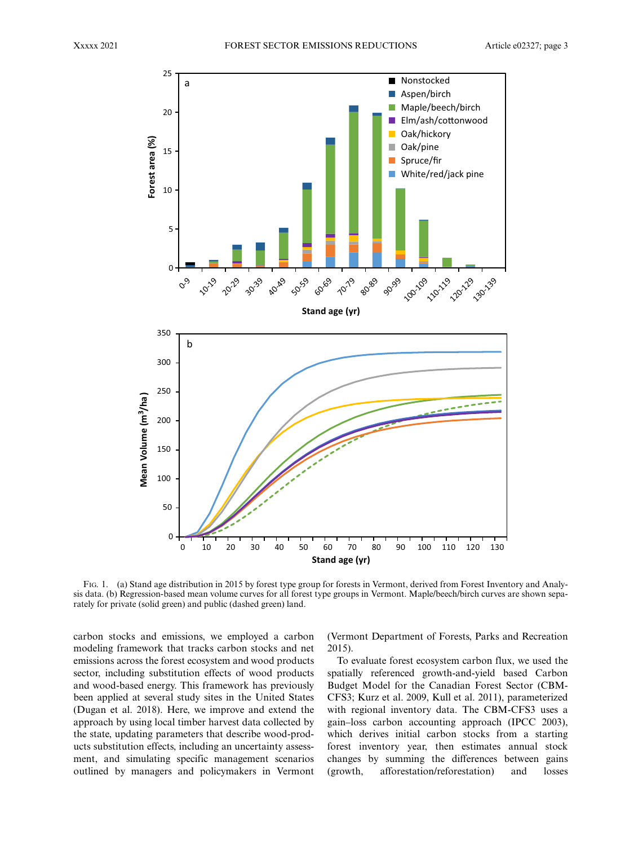

FIG. 1. (a) Stand age distribution in 2015 by forest type group for forests in Vermont, derived from Forest Inventory and Analysis data. (b) Regression-based mean volume curves for all forest type groups in Vermont. Maple/beech/birch curves are shown separately for private (solid green) and public (dashed green) land.

carbon stocks and emissions, we employed a carbon modeling framework that tracks carbon stocks and net emissions across the forest ecosystem and wood products sector, including substitution effects of wood products and wood-based energy. This framework has previously been applied at several study sites in the United States (Dugan et al. 2018). Here, we improve and extend the approach by using local timber harvest data collected by the state, updating parameters that describe wood-products substitution effects, including an uncertainty assessment, and simulating specific management scenarios outlined by managers and policymakers in Vermont (Vermont Department of Forests, Parks and Recreation 2015).

To evaluate forest ecosystem carbon flux, we used the spatially referenced growth-and-yield based Carbon Budget Model for the Canadian Forest Sector (CBM-CFS3; Kurz et al. 2009, Kull et al. 2011), parameterized with regional inventory data. The CBM-CFS3 uses a gain–loss carbon accounting approach (IPCC 2003), which derives initial carbon stocks from a starting forest inventory year, then estimates annual stock changes by summing the differences between gains (growth, afforestation/reforestation) and losses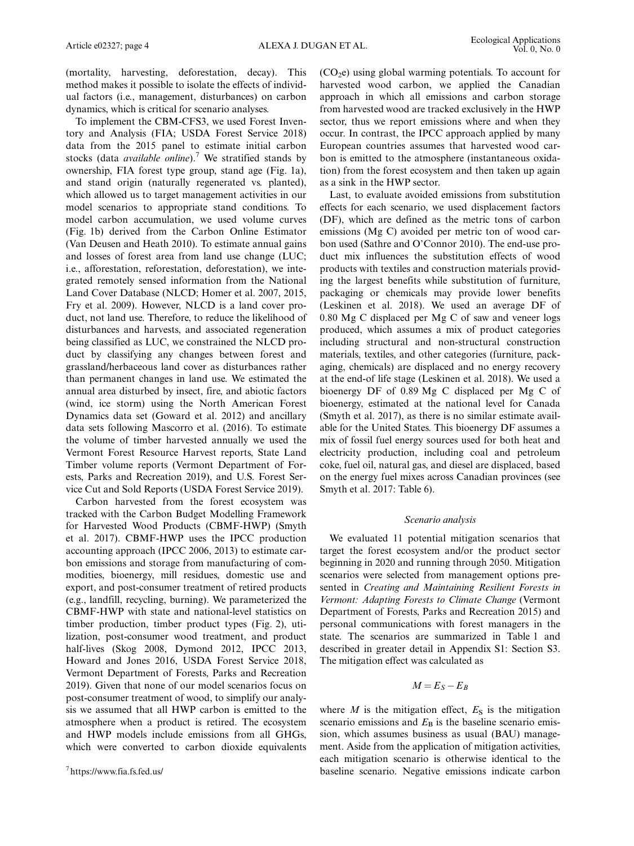(mortality, harvesting, deforestation, decay). This method makes it possible to isolate the effects of individual factors (i.e., management, disturbances) on carbon dynamics, which is critical for scenario analyses.

To implement the CBM-CFS3, we used Forest Inventory and Analysis (FIA; USDA Forest Service 2018) data from the 2015 panel to estimate initial carbon stocks (data *available online*).<sup>7</sup> We stratified stands by ownership, FIA forest type group, stand age (Fig. 1a), and stand origin (naturally regenerated vs. planted), which allowed us to target management activities in our model scenarios to appropriate stand conditions. To model carbon accumulation, we used volume curves (Fig. 1b) derived from the Carbon Online Estimator (Van Deusen and Heath 2010). To estimate annual gains and losses of forest area from land use change (LUC; i.e., afforestation, reforestation, deforestation), we integrated remotely sensed information from the National Land Cover Database (NLCD; Homer et al. 2007, 2015, Fry et al. 2009). However, NLCD is a land cover product, not land use. Therefore, to reduce the likelihood of disturbances and harvests, and associated regeneration being classified as LUC, we constrained the NLCD product by classifying any changes between forest and grassland/herbaceous land cover as disturbances rather than permanent changes in land use. We estimated the annual area disturbed by insect, fire, and abiotic factors (wind, ice storm) using the North American Forest Dynamics data set (Goward et al. 2012) and ancillary data sets following Mascorro et al. (2016). To estimate the volume of timber harvested annually we used the Vermont Forest Resource Harvest reports, State Land Timber volume reports (Vermont Department of Forests, Parks and Recreation 2019), and U.S. Forest Service Cut and Sold Reports (USDA Forest Service 2019).

Carbon harvested from the forest ecosystem was tracked with the Carbon Budget Modelling Framework for Harvested Wood Products (CBMF-HWP) (Smyth et al. 2017). CBMF-HWP uses the IPCC production accounting approach (IPCC 2006, 2013) to estimate carbon emissions and storage from manufacturing of commodities, bioenergy, mill residues, domestic use and export, and post-consumer treatment of retired products (e.g., landfill, recycling, burning). We parameterized the CBMF-HWP with state and national-level statistics on timber production, timber product types (Fig. 2), utilization, post-consumer wood treatment, and product half-lives (Skog 2008, Dymond 2012, IPCC 2013, Howard and Jones 2016, USDA Forest Service 2018, Vermont Department of Forests, Parks and Recreation 2019). Given that none of our model scenarios focus on post-consumer treatment of wood, to simplify our analysis we assumed that all HWP carbon is emitted to the atmosphere when a product is retired. The ecosystem and HWP models include emissions from all GHGs, which were converted to carbon dioxide equivalents

 $(CO<sub>2</sub>e)$  using global warming potentials. To account for harvested wood carbon, we applied the Canadian approach in which all emissions and carbon storage from harvested wood are tracked exclusively in the HWP sector, thus we report emissions where and when they occur. In contrast, the IPCC approach applied by many European countries assumes that harvested wood carbon is emitted to the atmosphere (instantaneous oxidation) from the forest ecosystem and then taken up again as a sink in the HWP sector.

Last, to evaluate avoided emissions from substitution effects for each scenario, we used displacement factors (DF), which are defined as the metric tons of carbon emissions (Mg C) avoided per metric ton of wood carbon used (Sathre and O'Connor 2010). The end-use product mix influences the substitution effects of wood products with textiles and construction materials providing the largest benefits while substitution of furniture, packaging or chemicals may provide lower benefits (Leskinen et al. 2018). We used an average DF of 0.80 Mg C displaced per Mg C of saw and veneer logs produced, which assumes a mix of product categories including structural and non-structural construction materials, textiles, and other categories (furniture, packaging, chemicals) are displaced and no energy recovery at the end-of life stage (Leskinen et al. 2018). We used a bioenergy DF of 0.89 Mg C displaced per Mg C of bioenergy, estimated at the national level for Canada (Smyth et al. 2017), as there is no similar estimate available for the United States. This bioenergy DF assumes a mix of fossil fuel energy sources used for both heat and electricity production, including coal and petroleum coke, fuel oil, natural gas, and diesel are displaced, based on the energy fuel mixes across Canadian provinces (see Smyth et al. 2017: Table 6).

#### Scenario analysis

We evaluated 11 potential mitigation scenarios that target the forest ecosystem and/or the product sector beginning in 2020 and running through 2050. Mitigation scenarios were selected from management options presented in Creating and Maintaining Resilient Forests in Vermont: Adapting Forests to Climate Change (Vermont Department of Forests, Parks and Recreation 2015) and personal communications with forest managers in the state. The scenarios are summarized in Table 1 and described in greater detail in Appendix S1: Section S3. The mitigation effect was calculated as

$$
M=E_S-E_B
$$

where  $M$  is the mitigation effect,  $E<sub>S</sub>$  is the mitigation scenario emissions and  $E<sub>B</sub>$  is the baseline scenario emission, which assumes business as usual (BAU) management. Aside from the application of mitigation activities, each mitigation scenario is otherwise identical to the baseline scenario. Negative emissions indicate carbon <sup>7</sup>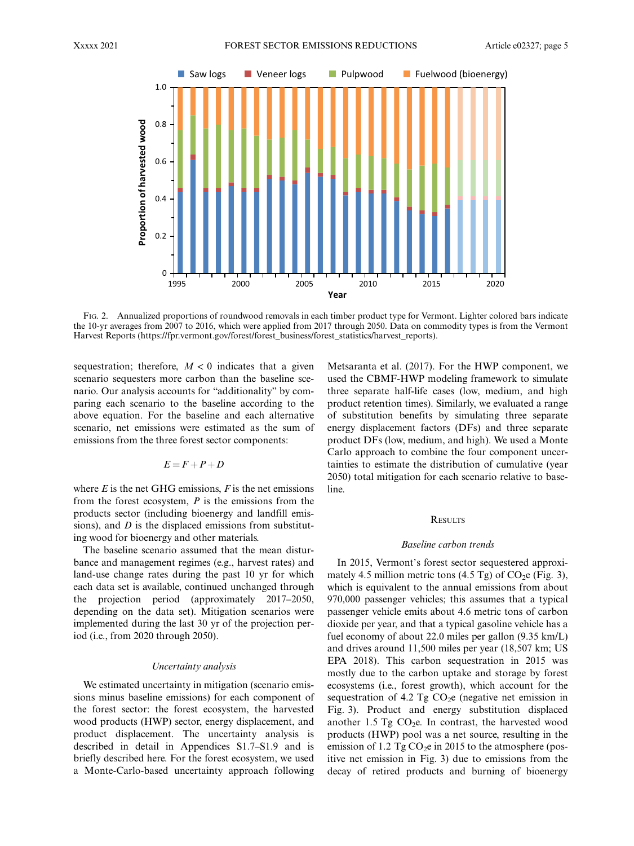

FIG. 2. Annualized proportions of roundwood removals in each timber product type for Vermont. Lighter colored bars indicate the 10-yr averages from 2007 to 2016, which were applied from 2017 through 2050. Data on commodity types is from the Vermont Harvest Reports ([https://fpr.vermont.gov/forest/forest\\_business/forest\\_statistics/harvest\\_reports\)](https://fpr.vermont.gov/forest/forest_business/forest_statistics/harvest_reports).

sequestration; therefore,  $M < 0$  indicates that a given scenario sequesters more carbon than the baseline scenario. Our analysis accounts for "additionality" by comparing each scenario to the baseline according to the above equation. For the baseline and each alternative scenario, net emissions were estimated as the sum of emissions from the three forest sector components:

$$
E = F + P + D
$$

where  $E$  is the net GHG emissions,  $F$  is the net emissions from the forest ecosystem,  $P$  is the emissions from the products sector (including bioenergy and landfill emissions), and  $D$  is the displaced emissions from substituting wood for bioenergy and other materials.

The baseline scenario assumed that the mean disturbance and management regimes (e.g., harvest rates) and land-use change rates during the past 10 yr for which each data set is available, continued unchanged through the projection period (approximately 2017–2050, depending on the data set). Mitigation scenarios were implemented during the last 30 yr of the projection period (i.e., from 2020 through 2050).

## Uncertainty analysis

We estimated uncertainty in mitigation (scenario emissions minus baseline emissions) for each component of the forest sector: the forest ecosystem, the harvested wood products (HWP) sector, energy displacement, and product displacement. The uncertainty analysis is described in detail in Appendices S1.7–S1.9 and is briefly described here. For the forest ecosystem, we used a Monte-Carlo-based uncertainty approach following Metsaranta et al. (2017). For the HWP component, we used the CBMF-HWP modeling framework to simulate three separate half-life cases (low, medium, and high product retention times). Similarly, we evaluated a range of substitution benefits by simulating three separate energy displacement factors (DFs) and three separate product DFs (low, medium, and high). We used a Monte Carlo approach to combine the four component uncertainties to estimate the distribution of cumulative (year 2050) total mitigation for each scenario relative to baseline.

## **RESULTS**

#### Baseline carbon trends

In 2015, Vermont's forest sector sequestered approximately 4.5 million metric tons (4.5 Tg) of  $CO<sub>2</sub>e$  (Fig. 3), which is equivalent to the annual emissions from about 970,000 passenger vehicles; this assumes that a typical passenger vehicle emits about 4.6 metric tons of carbon dioxide per year, and that a typical gasoline vehicle has a fuel economy of about 22.0 miles per gallon (9.35 km/L) and drives around 11,500 miles per year (18,507 km; US EPA 2018). This carbon sequestration in 2015 was mostly due to the carbon uptake and storage by forest ecosystems (i.e., forest growth), which account for the sequestration of 4.2 Tg  $CO<sub>2</sub>e$  (negative net emission in Fig. 3). Product and energy substitution displaced another 1.5 Tg  $CO<sub>2</sub>e$ . In contrast, the harvested wood products (HWP) pool was a net source, resulting in the emission of 1.2 Tg  $CO<sub>2</sub>e$  in 2015 to the atmosphere (positive net emission in Fig. 3) due to emissions from the decay of retired products and burning of bioenergy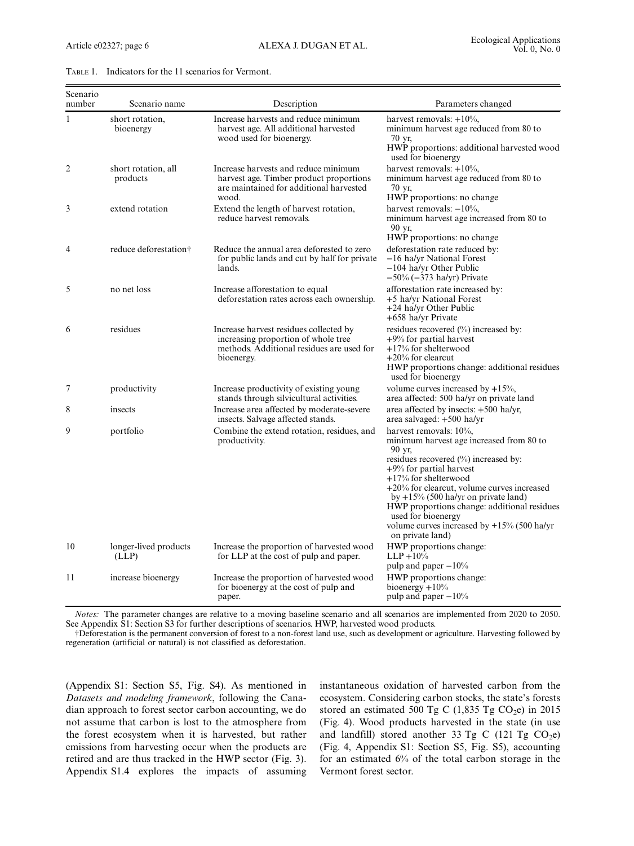| Scenario<br>number | Scenario name                     | Description                                                                                                                              | Parameters changed                                                                                                                                                                                                                                                                                                                                                                                                 |
|--------------------|-----------------------------------|------------------------------------------------------------------------------------------------------------------------------------------|--------------------------------------------------------------------------------------------------------------------------------------------------------------------------------------------------------------------------------------------------------------------------------------------------------------------------------------------------------------------------------------------------------------------|
| $\mathbf{1}$       | short rotation.<br>bioenergy      | Increase harvests and reduce minimum<br>harvest age. All additional harvested<br>wood used for bioenergy.                                | harvest removals: $+10\%$ ,<br>minimum harvest age reduced from 80 to<br>70 yr.<br>HWP proportions: additional harvested wood<br>used for bioenergy                                                                                                                                                                                                                                                                |
| $\overline{2}$     | short rotation, all<br>products   | Increase harvests and reduce minimum<br>harvest age. Timber product proportions<br>are maintained for additional harvested<br>wood.      | harvest removals: $+10\%$ ,<br>minimum harvest age reduced from 80 to<br>70 vr.<br>HWP proportions: no change                                                                                                                                                                                                                                                                                                      |
| 3                  | extend rotation                   | Extend the length of harvest rotation,<br>reduce harvest removals.                                                                       | harvest removals: $-10\%$ ,<br>minimum harvest age increased from 80 to<br>90 vr.<br>HWP proportions: no change                                                                                                                                                                                                                                                                                                    |
| $\overline{4}$     | reduce deforestation <sup>†</sup> | Reduce the annual area deforested to zero<br>for public lands and cut by half for private<br>lands.                                      | deforestation rate reduced by:<br>-16 ha/yr National Forest<br>$-104$ ha/yr Other Public<br>$-50\%$ ( $-373$ ha/yr) Private                                                                                                                                                                                                                                                                                        |
| 5                  | no net loss                       | Increase afforestation to equal<br>deforestation rates across each ownership.                                                            | afforestation rate increased by:<br>+5 ha/yr National Forest<br>+24 ha/yr Other Public<br>+658 ha/yr Private                                                                                                                                                                                                                                                                                                       |
| 6                  | residues                          | Increase harvest residues collected by<br>increasing proportion of whole tree<br>methods. Additional residues are used for<br>bioenergy. | residues recovered (%) increased by:<br>$+9\%$ for partial harvest<br>$+17%$ for shelterwood<br>$+20\%$ for clearcut<br>HWP proportions change: additional residues<br>used for bioenergy                                                                                                                                                                                                                          |
| 7                  | productivity                      | Increase productivity of existing young<br>stands through silvicultural activities.                                                      | volume curves increased by $+15%$ ,<br>area affected: 500 ha/yr on private land                                                                                                                                                                                                                                                                                                                                    |
| 8                  | insects                           | Increase area affected by moderate-severe<br>insects. Salvage affected stands.                                                           | area affected by insects: +500 ha/yr,<br>area salvaged: $+500$ ha/yr                                                                                                                                                                                                                                                                                                                                               |
| 9                  | portfolio                         | Combine the extend rotation, residues, and<br>productivity.                                                                              | harvest removals: 10%,<br>minimum harvest age increased from 80 to<br>90 yr,<br>residues recovered (%) increased by:<br>$+9\%$ for partial harvest<br>$+17%$ for shelterwood<br>$+20\%$ for clearcut, volume curves increased<br>by $+15\%$ (500 ha/yr on private land)<br>HWP proportions change: additional residues<br>used for bioenergy<br>volume curves increased by $+15\%$ (500 ha/yr)<br>on private land) |
| 10                 | longer-lived products<br>(LLP)    | Increase the proportion of harvested wood<br>for LLP at the cost of pulp and paper.                                                      | HWP proportions change:<br>$LLP + 10%$<br>pulp and paper $-10\%$                                                                                                                                                                                                                                                                                                                                                   |
| 11                 | increase bioenergy                | Increase the proportion of harvested wood<br>for bioenergy at the cost of pulp and<br>paper.                                             | HWP proportions change:<br>bioenergy $+10%$<br>pulp and paper $-10\%$                                                                                                                                                                                                                                                                                                                                              |

Notes: The parameter changes are relative to a moving baseline scenario and all scenarios are implemented from 2020 to 2050. See Appendix S1: Section S3 for further descriptions of scenarios. HWP, harvested wood products.

†Deforestation is the permanent conversion of forest to a non-forest land use, such as development or agriculture. Harvesting followed by regeneration (artificial or natural) is not classified as deforestation.

(Appendix S1: Section S5, Fig. S4). As mentioned in Datasets and modeling framework, following the Canadian approach to forest sector carbon accounting, we do not assume that carbon is lost to the atmosphere from the forest ecosystem when it is harvested, but rather emissions from harvesting occur when the products are retired and are thus tracked in the HWP sector (Fig. 3). Appendix S1.4 explores the impacts of assuming instantaneous oxidation of harvested carbon from the ecosystem. Considering carbon stocks, the state's forests stored an estimated 500 Tg C (1,835 Tg CO<sub>2</sub>e) in 2015 (Fig. 4). Wood products harvested in the state (in use and landfill) stored another 33 Tg C (121 Tg  $CO<sub>2</sub>e$ ) (Fig. 4, Appendix S1: Section S5, Fig. S5), accounting for an estimated 6% of the total carbon storage in the Vermont forest sector.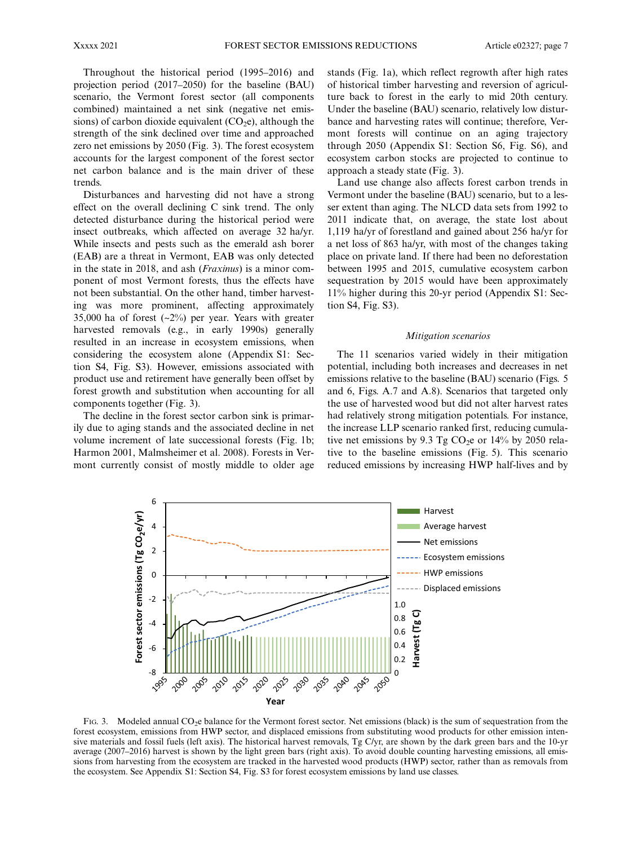Throughout the historical period (1995–2016) and projection period (2017–2050) for the baseline (BAU) scenario, the Vermont forest sector (all components combined) maintained a net sink (negative net emissions) of carbon dioxide equivalent  $(CO<sub>2</sub>e)$ , although the strength of the sink declined over time and approached zero net emissions by 2050 (Fig. 3). The forest ecosystem accounts for the largest component of the forest sector net carbon balance and is the main driver of these trends.

Disturbances and harvesting did not have a strong effect on the overall declining C sink trend. The only detected disturbance during the historical period were insect outbreaks, which affected on average 32 ha/yr. While insects and pests such as the emerald ash borer (EAB) are a threat in Vermont, EAB was only detected in the state in 2018, and ash (Fraxinus) is a minor component of most Vermont forests, thus the effects have not been substantial. On the other hand, timber harvesting was more prominent, affecting approximately 35,000 ha of forest (~2%) per year. Years with greater harvested removals (e.g., in early 1990s) generally resulted in an increase in ecosystem emissions, when considering the ecosystem alone (Appendix S1: Section S4, Fig. S3). However, emissions associated with product use and retirement have generally been offset by forest growth and substitution when accounting for all components together (Fig. 3).

The decline in the forest sector carbon sink is primarily due to aging stands and the associated decline in net volume increment of late successional forests (Fig. 1b; Harmon 2001, Malmsheimer et al. 2008). Forests in Vermont currently consist of mostly middle to older age stands (Fig. 1a), which reflect regrowth after high rates of historical timber harvesting and reversion of agriculture back to forest in the early to mid 20th century. Under the baseline (BAU) scenario, relatively low disturbance and harvesting rates will continue; therefore, Vermont forests will continue on an aging trajectory through 2050 (Appendix S1: Section S6, Fig. S6), and ecosystem carbon stocks are projected to continue to approach a steady state (Fig. 3).

Land use change also affects forest carbon trends in Vermont under the baseline (BAU) scenario, but to a lesser extent than aging. The NLCD data sets from 1992 to 2011 indicate that, on average, the state lost about 1,119 ha/yr of forestland and gained about 256 ha/yr for a net loss of 863 ha/yr, with most of the changes taking place on private land. If there had been no deforestation between 1995 and 2015, cumulative ecosystem carbon sequestration by 2015 would have been approximately 11% higher during this 20-yr period (Appendix S1: Section S4, Fig. S3).

#### Mitigation scenarios

The 11 scenarios varied widely in their mitigation potential, including both increases and decreases in net emissions relative to the baseline (BAU) scenario (Figs. 5 and 6, Figs. A.7 and A.8). Scenarios that targeted only the use of harvested wood but did not alter harvest rates had relatively strong mitigation potentials. For instance, the increase LLP scenario ranked first, reducing cumulative net emissions by 9.3 Tg  $CO<sub>2</sub>e$  or 14% by 2050 relative to the baseline emissions (Fig. 5). This scenario reduced emissions by increasing HWP half-lives and by



FIG. 3. Modeled annual CO<sub>2</sub>e balance for the Vermont forest sector. Net emissions (black) is the sum of sequestration from the forest ecosystem, emissions from HWP sector, and displaced emissions from substituting wood products for other emission intensive materials and fossil fuels (left axis). The historical harvest removals, Tg C/yr, are shown by the dark green bars and the 10-yr average (2007–2016) harvest is shown by the light green bars (right axis). To avoid double counting harvesting emissions, all emissions from harvesting from the ecosystem are tracked in the harvested wood products (HWP) sector, rather than as removals from the ecosystem. See Appendix S1: Section S4, Fig. S3 for forest ecosystem emissions by land use classes.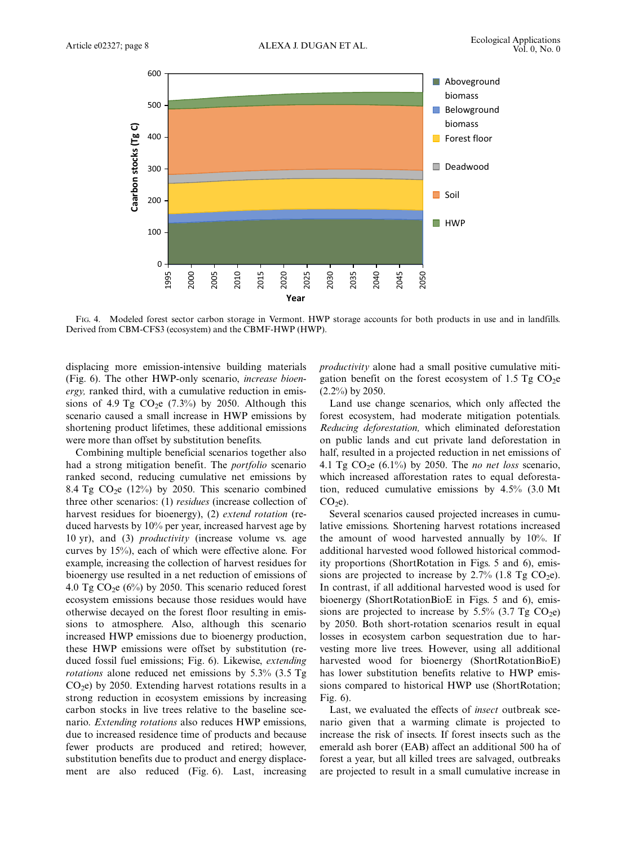

FIG. 4. Modeled forest sector carbon storage in Vermont. HWP storage accounts for both products in use and in landfills. Derived from CBM-CFS3 (ecosystem) and the CBMF-HWP (HWP).

displacing more emission-intensive building materials (Fig. 6). The other HWP-only scenario, increase bioenergy, ranked third, with a cumulative reduction in emissions of 4.9 Tg  $CO<sub>2</sub>e$  (7.3%) by 2050. Although this scenario caused a small increase in HWP emissions by shortening product lifetimes, these additional emissions were more than offset by substitution benefits.

Combining multiple beneficial scenarios together also had a strong mitigation benefit. The portfolio scenario ranked second, reducing cumulative net emissions by 8.4 Tg  $CO<sub>2</sub>e$  (12%) by 2050. This scenario combined three other scenarios: (1) residues (increase collection of harvest residues for bioenergy), (2) extend rotation (reduced harvests by 10% per year, increased harvest age by 10 yr), and (3) productivity (increase volume vs. age curves by 15%), each of which were effective alone. For example, increasing the collection of harvest residues for bioenergy use resulted in a net reduction of emissions of 4.0 Tg  $CO<sub>2</sub>e$  (6%) by 2050. This scenario reduced forest ecosystem emissions because those residues would have otherwise decayed on the forest floor resulting in emissions to atmosphere. Also, although this scenario increased HWP emissions due to bioenergy production, these HWP emissions were offset by substitution (reduced fossil fuel emissions; Fig. 6). Likewise, extending rotations alone reduced net emissions by 5.3% (3.5 Tg  $CO<sub>2</sub>e$ ) by 2050. Extending harvest rotations results in a strong reduction in ecosystem emissions by increasing carbon stocks in live trees relative to the baseline scenario. Extending rotations also reduces HWP emissions, due to increased residence time of products and because fewer products are produced and retired; however, substitution benefits due to product and energy displacement are also reduced (Fig. 6). Last, increasing

productivity alone had a small positive cumulative mitigation benefit on the forest ecosystem of 1.5 Tg  $CO<sub>2</sub>e$ (2.2%) by 2050.

Land use change scenarios, which only affected the forest ecosystem, had moderate mitigation potentials. Reducing deforestation, which eliminated deforestation on public lands and cut private land deforestation in half, resulted in a projected reduction in net emissions of 4.1 Tg  $CO<sub>2</sub>e (6.1%)$  by 2050. The *no net loss* scenario, which increased afforestation rates to equal deforestation, reduced cumulative emissions by 4.5% (3.0 Mt  $CO<sub>2</sub>e$ ).

Several scenarios caused projected increases in cumulative emissions. Shortening harvest rotations increased the amount of wood harvested annually by 10%. If additional harvested wood followed historical commodity proportions (ShortRotation in Figs. 5 and 6), emissions are projected to increase by  $2.7\%$  (1.8 Tg CO<sub>2</sub>e). In contrast, if all additional harvested wood is used for bioenergy (ShortRotationBioE in Figs. 5 and 6), emissions are projected to increase by 5.5% (3.7 Tg  $CO<sub>2</sub>e$ ) by 2050. Both short-rotation scenarios result in equal losses in ecosystem carbon sequestration due to harvesting more live trees. However, using all additional harvested wood for bioenergy (ShortRotationBioE) has lower substitution benefits relative to HWP emissions compared to historical HWP use (ShortRotation; Fig. 6).

Last, we evaluated the effects of insect outbreak scenario given that a warming climate is projected to increase the risk of insects. If forest insects such as the emerald ash borer (EAB) affect an additional 500 ha of forest a year, but all killed trees are salvaged, outbreaks are projected to result in a small cumulative increase in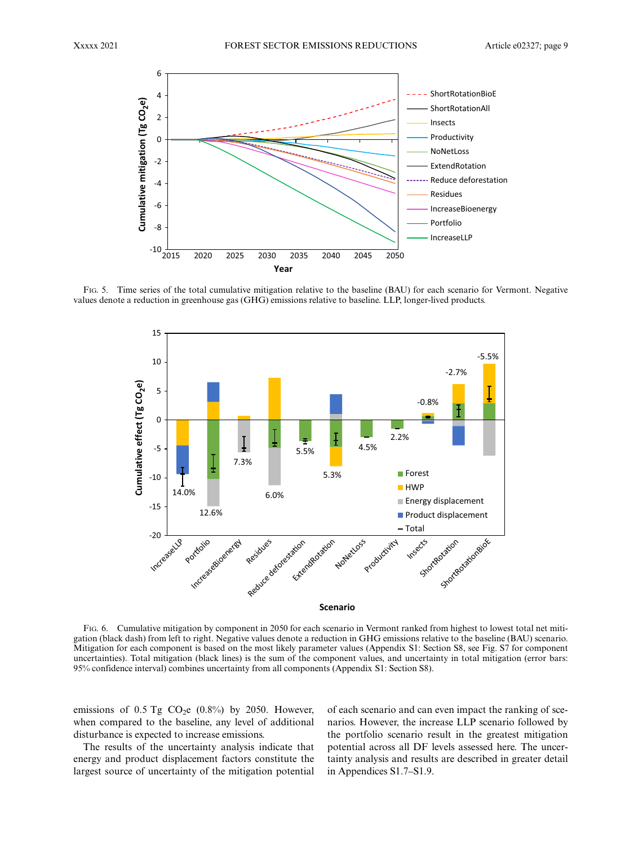

FIG. 5. Time series of the total cumulative mitigation relative to the baseline (BAU) for each scenario for Vermont. Negative values denote a reduction in greenhouse gas (GHG) emissions relative to baseline. LLP, longer-lived products.



FIG. 6. Cumulative mitigation by component in 2050 for each scenario in Vermont ranked from highest to lowest total net mitigation (black dash) from left to right. Negative values denote a reduction in GHG emissions relative to the baseline (BAU) scenario. Mitigation for each component is based on the most likely parameter values (Appendix S1: Section S8, see Fig. S7 for component uncertainties). Total mitigation (black lines) is the sum of the component values, and uncertainty in total mitigation (error bars: 95% confidence interval) combines uncertainty from all components (Appendix S1: Section S8).

emissions of  $0.5$  Tg CO<sub>2</sub>e  $(0.8\%)$  by 2050. However, when compared to the baseline, any level of additional disturbance is expected to increase emissions.

The results of the uncertainty analysis indicate that energy and product displacement factors constitute the largest source of uncertainty of the mitigation potential of each scenario and can even impact the ranking of scenarios. However, the increase LLP scenario followed by the portfolio scenario result in the greatest mitigation potential across all DF levels assessed here. The uncertainty analysis and results are described in greater detail in Appendices S1.7–S1.9.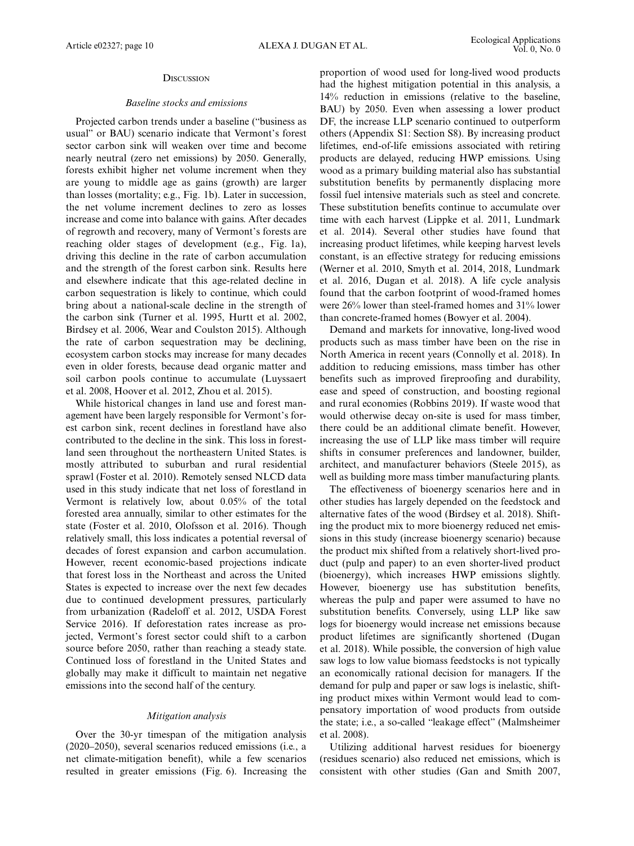## **DISCUSSION**

## Baseline stocks and emissions

Projected carbon trends under a baseline ("business as usual" or BAU) scenario indicate that Vermont's forest sector carbon sink will weaken over time and become nearly neutral (zero net emissions) by 2050. Generally, forests exhibit higher net volume increment when they are young to middle age as gains (growth) are larger than losses (mortality; e.g., Fig. 1b). Later in succession, the net volume increment declines to zero as losses increase and come into balance with gains. After decades of regrowth and recovery, many of Vermont's forests are reaching older stages of development (e.g., Fig. 1a), driving this decline in the rate of carbon accumulation and the strength of the forest carbon sink. Results here and elsewhere indicate that this age-related decline in carbon sequestration is likely to continue, which could bring about a national-scale decline in the strength of the carbon sink (Turner et al. 1995, Hurtt et al. 2002, Birdsey et al. 2006, Wear and Coulston 2015). Although the rate of carbon sequestration may be declining, ecosystem carbon stocks may increase for many decades even in older forests, because dead organic matter and soil carbon pools continue to accumulate (Luyssaert et al. 2008, Hoover et al. 2012, Zhou et al. 2015).

While historical changes in land use and forest management have been largely responsible for Vermont's forest carbon sink, recent declines in forestland have also contributed to the decline in the sink. This loss in forestland seen throughout the northeastern United States. is mostly attributed to suburban and rural residential sprawl (Foster et al. 2010). Remotely sensed NLCD data used in this study indicate that net loss of forestland in Vermont is relatively low, about 0.05% of the total forested area annually, similar to other estimates for the state (Foster et al. 2010, Olofsson et al. 2016). Though relatively small, this loss indicates a potential reversal of decades of forest expansion and carbon accumulation. However, recent economic-based projections indicate that forest loss in the Northeast and across the United States is expected to increase over the next few decades due to continued development pressures, particularly from urbanization (Radeloff et al. 2012, USDA Forest Service 2016). If deforestation rates increase as projected, Vermont's forest sector could shift to a carbon source before 2050, rather than reaching a steady state. Continued loss of forestland in the United States and globally may make it difficult to maintain net negative emissions into the second half of the century.

## Mitigation analysis

Over the 30-yr timespan of the mitigation analysis (2020–2050), several scenarios reduced emissions (i.e., a net climate-mitigation benefit), while a few scenarios resulted in greater emissions (Fig. 6). Increasing the proportion of wood used for long-lived wood products had the highest mitigation potential in this analysis, a 14% reduction in emissions (relative to the baseline, BAU) by 2050. Even when assessing a lower product DF, the increase LLP scenario continued to outperform others (Appendix S1: Section S8). By increasing product lifetimes, end-of-life emissions associated with retiring products are delayed, reducing HWP emissions. Using wood as a primary building material also has substantial substitution benefits by permanently displacing more fossil fuel intensive materials such as steel and concrete. These substitution benefits continue to accumulate over time with each harvest (Lippke et al. 2011, Lundmark et al. 2014). Several other studies have found that increasing product lifetimes, while keeping harvest levels constant, is an effective strategy for reducing emissions (Werner et al. 2010, Smyth et al. 2014, 2018, Lundmark et al. 2016, Dugan et al. 2018). A life cycle analysis found that the carbon footprint of wood-framed homes were 26% lower than steel-framed homes and 31% lower than concrete-framed homes (Bowyer et al. 2004).

Demand and markets for innovative, long-lived wood products such as mass timber have been on the rise in North America in recent years (Connolly et al. 2018). In addition to reducing emissions, mass timber has other benefits such as improved fireproofing and durability, ease and speed of construction, and boosting regional and rural economies (Robbins 2019). If waste wood that would otherwise decay on-site is used for mass timber, there could be an additional climate benefit. However, increasing the use of LLP like mass timber will require shifts in consumer preferences and landowner, builder, architect, and manufacturer behaviors (Steele 2015), as well as building more mass timber manufacturing plants.

The effectiveness of bioenergy scenarios here and in other studies has largely depended on the feedstock and alternative fates of the wood (Birdsey et al. 2018). Shifting the product mix to more bioenergy reduced net emissions in this study (increase bioenergy scenario) because the product mix shifted from a relatively short-lived product (pulp and paper) to an even shorter-lived product (bioenergy), which increases HWP emissions slightly. However, bioenergy use has substitution benefits, whereas the pulp and paper were assumed to have no substitution benefits. Conversely, using LLP like saw logs for bioenergy would increase net emissions because product lifetimes are significantly shortened (Dugan et al. 2018). While possible, the conversion of high value saw logs to low value biomass feedstocks is not typically an economically rational decision for managers. If the demand for pulp and paper or saw logs is inelastic, shifting product mixes within Vermont would lead to compensatory importation of wood products from outside the state; i.e., a so-called "leakage effect" (Malmsheimer et al. 2008).

Utilizing additional harvest residues for bioenergy (residues scenario) also reduced net emissions, which is consistent with other studies (Gan and Smith 2007,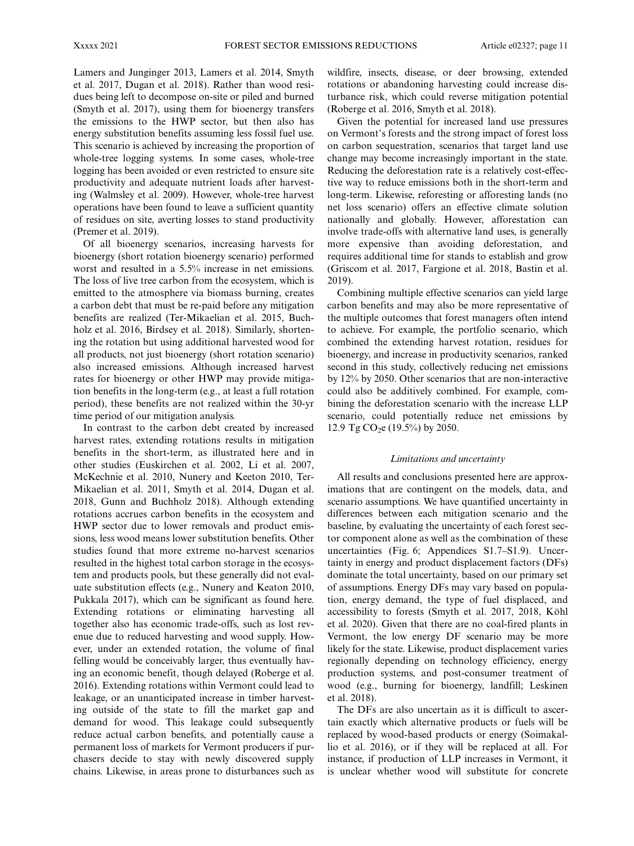Lamers and Junginger 2013, Lamers et al. 2014, Smyth et al. 2017, Dugan et al. 2018). Rather than wood residues being left to decompose on-site or piled and burned (Smyth et al. 2017), using them for bioenergy transfers the emissions to the HWP sector, but then also has energy substitution benefits assuming less fossil fuel use. This scenario is achieved by increasing the proportion of whole-tree logging systems. In some cases, whole-tree logging has been avoided or even restricted to ensure site productivity and adequate nutrient loads after harvesting (Walmsley et al. 2009). However, whole-tree harvest operations have been found to leave a sufficient quantity of residues on site, averting losses to stand productivity (Premer et al. 2019).

Of all bioenergy scenarios, increasing harvests for bioenergy (short rotation bioenergy scenario) performed worst and resulted in a 5.5% increase in net emissions. The loss of live tree carbon from the ecosystem, which is emitted to the atmosphere via biomass burning, creates a carbon debt that must be re-paid before any mitigation benefits are realized (Ter-Mikaelian et al. 2015, Buchholz et al. 2016, Birdsey et al. 2018). Similarly, shortening the rotation but using additional harvested wood for all products, not just bioenergy (short rotation scenario) also increased emissions. Although increased harvest rates for bioenergy or other HWP may provide mitigation benefits in the long-term (e.g., at least a full rotation period), these benefits are not realized within the 30-yr time period of our mitigation analysis.

In contrast to the carbon debt created by increased harvest rates, extending rotations results in mitigation benefits in the short-term, as illustrated here and in other studies (Euskirchen et al. 2002, Li et al. 2007, McKechnie et al. 2010, Nunery and Keeton 2010, Ter-Mikaelian et al. 2011, Smyth et al. 2014, Dugan et al. 2018, Gunn and Buchholz 2018). Although extending rotations accrues carbon benefits in the ecosystem and HWP sector due to lower removals and product emissions, less wood means lower substitution benefits. Other studies found that more extreme no-harvest scenarios resulted in the highest total carbon storage in the ecosystem and products pools, but these generally did not evaluate substitution effects (e.g., Nunery and Keaton 2010, Pukkala 2017), which can be significant as found here. Extending rotations or eliminating harvesting all together also has economic trade-offs, such as lost revenue due to reduced harvesting and wood supply. However, under an extended rotation, the volume of final felling would be conceivably larger, thus eventually having an economic benefit, though delayed (Roberge et al. 2016). Extending rotations within Vermont could lead to leakage, or an unanticipated increase in timber harvesting outside of the state to fill the market gap and demand for wood. This leakage could subsequently reduce actual carbon benefits, and potentially cause a permanent loss of markets for Vermont producers if purchasers decide to stay with newly discovered supply chains. Likewise, in areas prone to disturbances such as wildfire, insects, disease, or deer browsing, extended rotations or abandoning harvesting could increase disturbance risk, which could reverse mitigation potential (Roberge et al. 2016, Smyth et al. 2018).

Given the potential for increased land use pressures on Vermont's forests and the strong impact of forest loss on carbon sequestration, scenarios that target land use change may become increasingly important in the state. Reducing the deforestation rate is a relatively cost-effective way to reduce emissions both in the short-term and long-term. Likewise, reforesting or afforesting lands (no net loss scenario) offers an effective climate solution nationally and globally. However, afforestation can involve trade-offs with alternative land uses, is generally more expensive than avoiding deforestation, and requires additional time for stands to establish and grow (Griscom et al. 2017, Fargione et al. 2018, Bastin et al. 2019).

Combining multiple effective scenarios can yield large carbon benefits and may also be more representative of the multiple outcomes that forest managers often intend to achieve. For example, the portfolio scenario, which combined the extending harvest rotation, residues for bioenergy, and increase in productivity scenarios, ranked second in this study, collectively reducing net emissions by 12% by 2050. Other scenarios that are non-interactive could also be additively combined. For example, combining the deforestation scenario with the increase LLP scenario, could potentially reduce net emissions by 12.9 Tg CO<sub>2</sub>e (19.5%) by 2050.

#### Limitations and uncertainty

All results and conclusions presented here are approximations that are contingent on the models, data, and scenario assumptions. We have quantified uncertainty in differences between each mitigation scenario and the baseline, by evaluating the uncertainty of each forest sector component alone as well as the combination of these uncertainties (Fig. 6; Appendices S1.7–S1.9). Uncertainty in energy and product displacement factors (DFs) dominate the total uncertainty, based on our primary set of assumptions. Energy DFs may vary based on population, energy demand, the type of fuel displaced, and accessibility to forests (Smyth et al. 2017, 2018, Köhl et al. 2020). Given that there are no coal-fired plants in Vermont, the low energy DF scenario may be more likely for the state. Likewise, product displacement varies regionally depending on technology efficiency, energy production systems, and post-consumer treatment of wood (e.g., burning for bioenergy, landfill; Leskinen et al. 2018).

The DFs are also uncertain as it is difficult to ascertain exactly which alternative products or fuels will be replaced by wood-based products or energy (Soimakallio et al. 2016), or if they will be replaced at all. For instance, if production of LLP increases in Vermont, it is unclear whether wood will substitute for concrete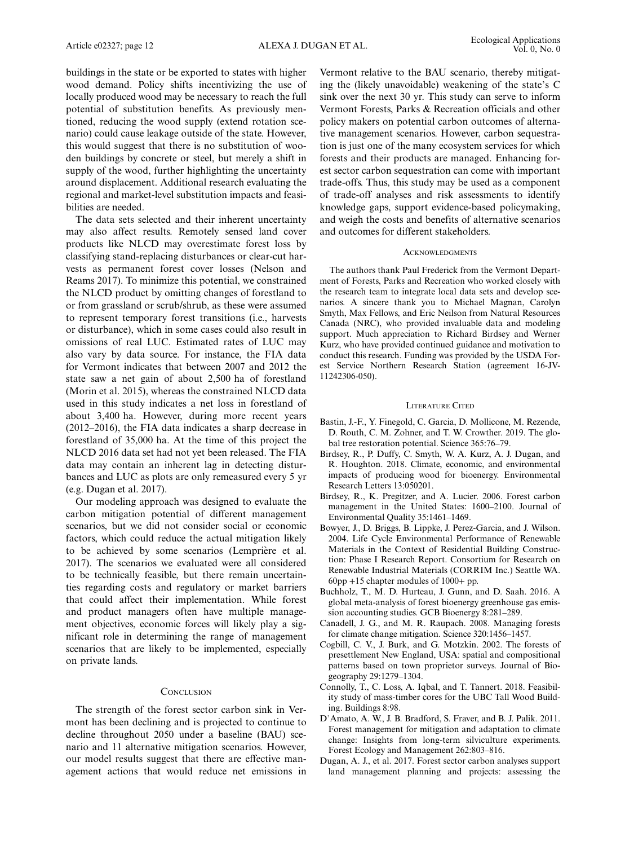buildings in the state or be exported to states with higher wood demand. Policy shifts incentivizing the use of locally produced wood may be necessary to reach the full potential of substitution benefits. As previously mentioned, reducing the wood supply (extend rotation scenario) could cause leakage outside of the state. However, this would suggest that there is no substitution of wooden buildings by concrete or steel, but merely a shift in supply of the wood, further highlighting the uncertainty around displacement. Additional research evaluating the regional and market-level substitution impacts and feasibilities are needed.

The data sets selected and their inherent uncertainty may also affect results. Remotely sensed land cover products like NLCD may overestimate forest loss by classifying stand-replacing disturbances or clear-cut harvests as permanent forest cover losses (Nelson and Reams 2017). To minimize this potential, we constrained the NLCD product by omitting changes of forestland to or from grassland or scrub/shrub, as these were assumed to represent temporary forest transitions (i.e., harvests or disturbance), which in some cases could also result in omissions of real LUC. Estimated rates of LUC may also vary by data source. For instance, the FIA data for Vermont indicates that between 2007 and 2012 the state saw a net gain of about 2,500 ha of forestland (Morin et al. 2015), whereas the constrained NLCD data used in this study indicates a net loss in forestland of about 3,400 ha. However, during more recent years (2012–2016), the FIA data indicates a sharp decrease in forestland of 35,000 ha. At the time of this project the NLCD 2016 data set had not yet been released. The FIA data may contain an inherent lag in detecting disturbances and LUC as plots are only remeasured every 5 yr (e.g. Dugan et al. 2017).

Our modeling approach was designed to evaluate the carbon mitigation potential of different management scenarios, but we did not consider social or economic factors, which could reduce the actual mitigation likely to be achieved by some scenarios (Lemprière et al. 2017). The scenarios we evaluated were all considered to be technically feasible, but there remain uncertainties regarding costs and regulatory or market barriers that could affect their implementation. While forest and product managers often have multiple management objectives, economic forces will likely play a significant role in determining the range of management scenarios that are likely to be implemented, especially on private lands.

#### **CONCLUSION**

The strength of the forest sector carbon sink in Vermont has been declining and is projected to continue to decline throughout 2050 under a baseline (BAU) scenario and 11 alternative mitigation scenarios. However, our model results suggest that there are effective management actions that would reduce net emissions in

Vermont relative to the BAU scenario, thereby mitigating the (likely unavoidable) weakening of the state's C sink over the next 30 yr. This study can serve to inform Vermont Forests, Parks & Recreation officials and other policy makers on potential carbon outcomes of alternative management scenarios. However, carbon sequestration is just one of the many ecosystem services for which forests and their products are managed. Enhancing forest sector carbon sequestration can come with important trade-offs. Thus, this study may be used as a component of trade-off analyses and risk assessments to identify knowledge gaps, support evidence-based policymaking, and weigh the costs and benefits of alternative scenarios and outcomes for different stakeholders.

#### ACKNOWLEDGMENTS

The authors thank Paul Frederick from the Vermont Department of Forests, Parks and Recreation who worked closely with the research team to integrate local data sets and develop scenarios. A sincere thank you to Michael Magnan, Carolyn Smyth, Max Fellows, and Eric Neilson from Natural Resources Canada (NRC), who provided invaluable data and modeling support. Much appreciation to Richard Birdsey and Werner Kurz, who have provided continued guidance and motivation to conduct this research. Funding was provided by the USDA Forest Service Northern Research Station (agreement 16-JV-11242306-050).

#### LITERATURE CITED

- Bastin, J.-F., Y. Finegold, C. Garcia, D. Mollicone, M. Rezende, D. Routh, C. M. Zohner, and T. W. Crowther. 2019. The global tree restoration potential. Science 365:76–79.
- Birdsey, R., P. Duffy, C. Smyth, W. A. Kurz, A. J. Dugan, and R. Houghton. 2018. Climate, economic, and environmental impacts of producing wood for bioenergy. Environmental Research Letters 13:050201.
- Birdsey, R., K. Pregitzer, and A. Lucier. 2006. Forest carbon management in the United States: 1600–2100. Journal of Environmental Quality 35:1461–1469.
- Bowyer, J., D. Briggs, B. Lippke, J. Perez-Garcia, and J. Wilson. 2004. Life Cycle Environmental Performance of Renewable Materials in the Context of Residential Building Construction: Phase I Research Report. Consortium for Research on Renewable Industrial Materials (CORRIM Inc.) Seattle WA. 60pp +15 chapter modules of 1000+ pp.
- Buchholz, T., M. D. Hurteau, J. Gunn, and D. Saah. 2016. A global meta-analysis of forest bioenergy greenhouse gas emission accounting studies. GCB Bioenergy 8:281–289.
- Canadell, J. G., and M. R. Raupach. 2008. Managing forests for climate change mitigation. Science 320:1456–1457.
- Cogbill, C. V., J. Burk, and G. Motzkin. 2002. The forests of presettlement New England, USA: spatial and compositional patterns based on town proprietor surveys. Journal of Biogeography 29:1279–1304.
- Connolly, T., C. Loss, A. Iqbal, and T. Tannert. 2018. Feasibility study of mass-timber cores for the UBC Tall Wood Building. Buildings 8:98.
- D'Amato, A. W., J. B. Bradford, S. Fraver, and B. J. Palik. 2011. Forest management for mitigation and adaptation to climate change: Insights from long-term silviculture experiments. Forest Ecology and Management 262:803–816.
- Dugan, A. J., et al. 2017. Forest sector carbon analyses support land management planning and projects: assessing the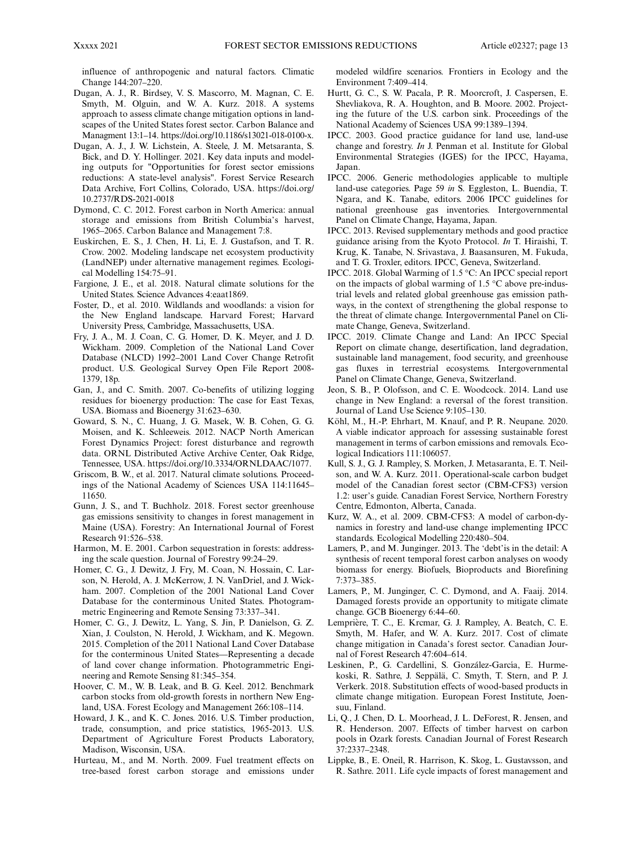influence of anthropogenic and natural factors. Climatic Change 144:207–220.

- Dugan, A. J., R. Birdsey, V. S. Mascorro, M. Magnan, C. E. Smyth, M. Olguin, and W. A. Kurz. 2018. A systems approach to assess climate change mitigation options in landscapes of the United States forest sector. Carbon Balance and Managment 13:1–14. [https://doi.org/10.1186/s13021-018-0100-x.](https://doi.org/10.1186/s13021-018-0100-x)
- Dugan, A. J., J. W. Lichstein, A. Steele, J. M. Metsaranta, S. Bick, and D. Y. Hollinger. 2021. Key data inputs and modeling outputs for "Opportunities for forest sector emissions reductions: A state-level analysis". Forest Service Research Data Archive, Fort Collins, Colorado, USA. [https://doi.org/](https://doi.org/10.2737/RDS-2021-0018) [10.2737/RDS-2021-0018](https://doi.org/10.2737/RDS-2021-0018)
- Dymond, C. C. 2012. Forest carbon in North America: annual storage and emissions from British Columbia's harvest, 1965–2065. Carbon Balance and Management 7:8.
- Euskirchen, E. S., J. Chen, H. Li, E. J. Gustafson, and T. R. Crow. 2002. Modeling landscape net ecosystem productivity (LandNEP) under alternative management regimes. Ecological Modelling 154:75–91.
- Fargione, J. E., et al. 2018. Natural climate solutions for the United States. Science Advances 4:eaat1869.
- Foster, D., et al. 2010. Wildlands and woodlands: a vision for the New England landscape. Harvard Forest; Harvard University Press, Cambridge, Massachusetts, USA.
- Fry, J. A., M. J. Coan, C. G. Homer, D. K. Meyer, and J. D. Wickham. 2009. Completion of the National Land Cover Database (NLCD) 1992–2001 Land Cover Change Retrofit product. U.S. Geological Survey Open File Report 2008- 1379, 18p.
- Gan, J., and C. Smith. 2007. Co-benefits of utilizing logging residues for bioenergy production: The case for East Texas, USA. Biomass and Bioenergy 31:623–630.
- Goward, S. N., C. Huang, J. G. Masek, W. B. Cohen, G. G. Moisen, and K. Schleeweis. 2012. NACP North American Forest Dynamics Project: forest disturbance and regrowth data. ORNL Distributed Active Archive Center, Oak Ridge, Tennessee, USA.<https://doi.org/10.3334/ORNLDAAC/1077>.
- Griscom, B. W., et al. 2017. Natural climate solutions. Proceedings of the National Academy of Sciences USA 114:11645– 11650.
- Gunn, J. S., and T. Buchholz. 2018. Forest sector greenhouse gas emissions sensitivity to changes in forest management in Maine (USA). Forestry: An International Journal of Forest Research 91:526–538.
- Harmon, M. E. 2001. Carbon sequestration in forests: addressing the scale question. Journal of Forestry 99:24–29.
- Homer, C. G., J. Dewitz, J. Fry, M. Coan, N. Hossain, C. Larson, N. Herold, A. J. McKerrow, J. N. VanDriel, and J. Wickham. 2007. Completion of the 2001 National Land Cover Database for the conterminous United States. Photogrammetric Engineering and Remote Sensing 73:337–341.
- Homer, C. G., J. Dewitz, L. Yang, S. Jin, P. Danielson, G. Z. Xian, J. Coulston, N. Herold, J. Wickham, and K. Megown. 2015. Completion of the 2011 National Land Cover Database for the conterminous United States—Representing a decade of land cover change information. Photogrammetric Engineering and Remote Sensing 81:345–354.
- Hoover, C. M., W. B. Leak, and B. G. Keel. 2012. Benchmark carbon stocks from old-growth forests in northern New England, USA. Forest Ecology and Management 266:108–114.
- Howard, J. K., and K. C. Jones. 2016. U.S. Timber production, trade, consumption, and price statistics, 1965-2013. U.S. Department of Agriculture Forest Products Laboratory, Madison, Wisconsin, USA.
- Hurteau, M., and M. North. 2009. Fuel treatment effects on tree-based forest carbon storage and emissions under

modeled wildfire scenarios. Frontiers in Ecology and the Environment 7:409–414.

- Hurtt, G. C., S. W. Pacala, P. R. Moorcroft, J. Caspersen, E. Shevliakova, R. A. Houghton, and B. Moore. 2002. Projecting the future of the U.S. carbon sink. Proceedings of the National Academy of Sciences USA 99:1389–1394.
- IPCC. 2003. Good practice guidance for land use, land-use change and forestry. In J. Penman et al. Institute for Global Environmental Strategies (IGES) for the IPCC, Hayama, Japan.
- IPCC. 2006. Generic methodologies applicable to multiple land-use categories. Page 59 in S. Eggleston, L. Buendia, T. Ngara, and K. Tanabe, editors. 2006 IPCC guidelines for national greenhouse gas inventories. Intergovernmental Panel on Climate Change, Hayama, Japan.
- IPCC. 2013. Revised supplementary methods and good practice guidance arising from the Kyoto Protocol. In T. Hiraishi, T. Krug, K. Tanabe, N. Srivastava, J. Baasansuren, M. Fukuda, and T. G. Troxler, editors. IPCC, Geneva, Switzerland.
- IPCC. 2018. Global Warming of 1.5 °C: An IPCC special report on the impacts of global warming of 1.5 °C above pre-industrial levels and related global greenhouse gas emission pathways, in the context of strengthening the global response to the threat of climate change. Intergovernmental Panel on Climate Change, Geneva, Switzerland.
- IPCC. 2019. Climate Change and Land: An IPCC Special Report on climate change, desertification, land degradation, sustainable land management, food security, and greenhouse gas fluxes in terrestrial ecosystems. Intergovernmental Panel on Climate Change, Geneva, Switzerland.
- Jeon, S. B., P. Olofsson, and C. E. Woodcock. 2014. Land use change in New England: a reversal of the forest transition. Journal of Land Use Science 9:105–130.
- Köhl, M., H.-P. Ehrhart, M. Knauf, and P. R. Neupane. 2020. A viable indicator approach for assessing sustainable forest management in terms of carbon emissions and removals. Ecological Indicatiors 111:106057.
- Kull, S. J., G. J. Rampley, S. Morken, J. Metasaranta, E. T. Neilson, and W. A. Kurz. 2011. Operational-scale carbon budget model of the Canadian forest sector (CBM-CFS3) version 1.2: user's guide. Canadian Forest Service, Northern Forestry Centre, Edmonton, Alberta, Canada.
- Kurz, W. A., et al. 2009. CBM-CFS3: A model of carbon-dynamics in forestry and land-use change implementing IPCC standards. Ecological Modelling 220:480–504.
- Lamers, P., and M. Junginger. 2013. The 'debt'is in the detail: A synthesis of recent temporal forest carbon analyses on woody biomass for energy. Biofuels, Bioproducts and Biorefining 7:373–385.
- Lamers, P., M. Junginger, C. C. Dymond, and A. Faaij. 2014. Damaged forests provide an opportunity to mitigate climate change. GCB Bioenergy 6:44–60.
- Lemprière, T. C., E. Krcmar, G. J. Rampley, A. Beatch, C. E. Smyth, M. Hafer, and W. A. Kurz. 2017. Cost of climate change mitigation in Canada's forest sector. Canadian Journal of Forest Research 47:604–614.
- Leskinen, P., G. Cardellini, S. González-García, E. Hurmekoski, R. Sathre, J. Seppälä, C. Smyth, T. Stern, and P. J. Verkerk. 2018. Substitution effects of wood-based products in climate change mitigation. European Forest Institute, Joensuu, Finland.
- Li, Q., J. Chen, D. L. Moorhead, J. L. DeForest, R. Jensen, and R. Henderson. 2007. Effects of timber harvest on carbon pools in Ozark forests. Canadian Journal of Forest Research 37:2337–2348.
- Lippke, B., E. Oneil, R. Harrison, K. Skog, L. Gustavsson, and R. Sathre. 2011. Life cycle impacts of forest management and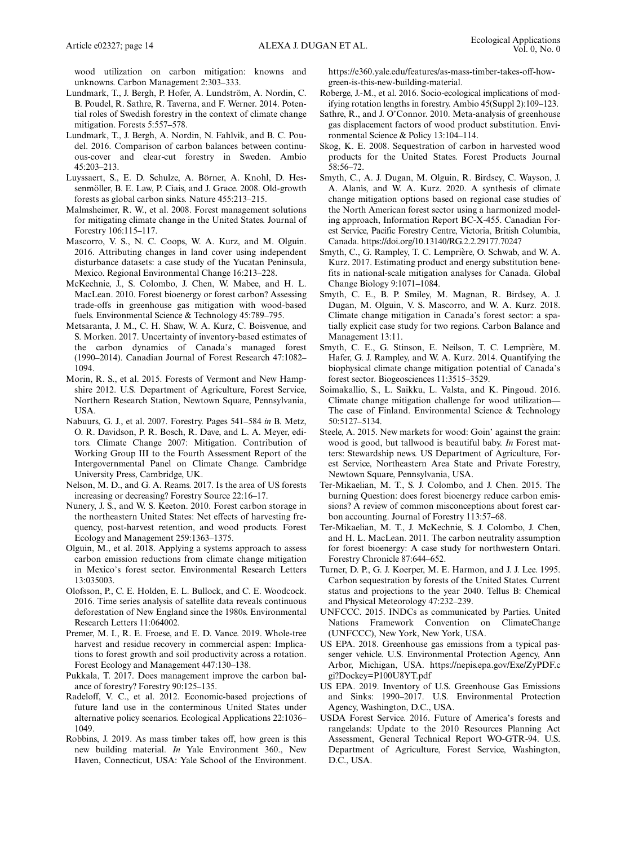wood utilization on carbon mitigation: knowns and unknowns. Carbon Management 2:303–333.

- Lundmark, T., J. Bergh, P. Hofer, A. Lundström, A. Nordin, C. B. Poudel, R. Sathre, R. Taverna, and F. Werner. 2014. Potential roles of Swedish forestry in the context of climate change mitigation. Forests 5:557–578.
- Lundmark, T., J. Bergh, A. Nordin, N. Fahlvik, and B. C. Poudel. 2016. Comparison of carbon balances between continuous-cover and clear-cut forestry in Sweden. Ambio  $45:203 - 213$
- Luyssaert, S., E. D. Schulze, A. Börner, A. Knohl, D. Hessenmöller, B. E. Law, P. Ciais, and J. Grace. 2008. Old-growth forests as global carbon sinks. Nature 455:213–215.
- Malmsheimer, R. W., et al. 2008. Forest management solutions for mitigating climate change in the United States. Journal of Forestry 106:115–117.
- Mascorro, V. S., N. C. Coops, W. A. Kurz, and M. Olguín. 2016. Attributing changes in land cover using independent disturbance datasets: a case study of the Yucatan Peninsula, Mexico. Regional Environmental Change 16:213–228.
- McKechnie, J., S. Colombo, J. Chen, W. Mabee, and H. L. MacLean. 2010. Forest bioenergy or forest carbon? Assessing trade-offs in greenhouse gas mitigation with wood-based fuels. Environmental Science & Technology 45:789–795.
- Metsaranta, J. M., C. H. Shaw, W. A. Kurz, C. Boisvenue, and S. Morken. 2017. Uncertainty of inventory-based estimates of the carbon dynamics of Canada's managed forest (1990–2014). Canadian Journal of Forest Research 47:1082– 1094.
- Morin, R. S., et al. 2015. Forests of Vermont and New Hampshire 2012. U.S. Department of Agriculture, Forest Service, Northern Research Station, Newtown Square, Pennsylvania, USA.
- Nabuurs, G. J., et al. 2007. Forestry. Pages 541–584 in B. Metz, O. R. Davidson, P. R. Bosch, R. Dave, and L. A. Meyer, editors. Climate Change 2007: Mitigation. Contribution of Working Group III to the Fourth Assessment Report of the Intergovernmental Panel on Climate Change. Cambridge University Press, Cambridge, UK.
- Nelson, M. D., and G. A. Reams. 2017. Is the area of US forests increasing or decreasing? Forestry Source 22:16–17.
- Nunery, J. S., and W. S. Keeton. 2010. Forest carbon storage in the northeastern United States: Net effects of harvesting frequency, post-harvest retention, and wood products. Forest Ecology and Management 259:1363–1375.
- Olguin, M., et al. 2018. Applying a systems approach to assess carbon emission reductions from climate change mitigation in Mexico's forest sector. Environmental Research Letters 13:035003.
- Olofsson, P., C. E. Holden, E. L. Bullock, and C. E. Woodcock. 2016. Time series analysis of satellite data reveals continuous deforestation of New England since the 1980s. Environmental Research Letters 11:064002.
- Premer, M. I., R. E. Froese, and E. D. Vance. 2019. Whole-tree harvest and residue recovery in commercial aspen: Implications to forest growth and soil productivity across a rotation. Forest Ecology and Management 447:130–138.
- Pukkala, T. 2017. Does management improve the carbon balance of forestry? Forestry 90:125–135.
- Radeloff, V. C., et al. 2012. Economic-based projections of future land use in the conterminous United States under alternative policy scenarios. Ecological Applications 22:1036– 1049.
- Robbins, J. 2019. As mass timber takes off, how green is this new building material. In Yale Environment 360., New Haven, Connecticut, USA: Yale School of the Environment.

[https://e360.yale.edu/features/as-mass-timber-takes-off-how](https://e360.yale.edu/features/as-mass-timber-takes-off-how-green-is-this-new-building-material)[green-is-this-new-building-material.](https://e360.yale.edu/features/as-mass-timber-takes-off-how-green-is-this-new-building-material)

- Roberge, J.-M., et al. 2016. Socio-ecological implications of modifying rotation lengths in forestry. Ambio 45(Suppl 2):109–123.
- Sathre, R., and J. O'Connor. 2010. Meta-analysis of greenhouse gas displacement factors of wood product substitution. Environmental Science & Policy 13:104–114.
- Skog, K. E. 2008. Sequestration of carbon in harvested wood products for the United States. Forest Products Journal 58:56–72.
- Smyth, C., A. J. Dugan, M. Olguin, R. Birdsey, C. Wayson, J. A. Alanís, and W. A. Kurz. 2020. A synthesis of climate change mitigation options based on regional case studies of the North American forest sector using a harmonized modeling approach, Information Report BC-X-455. Canadian Forest Service, Pacific Forestry Centre, Victoria, British Columbia, Canada.<https://doi.org/10.13140/RG.2.2.29177.70247>
- Smyth, C., G. Rampley, T. C. Lemprière, O. Schwab, and W. A. Kurz. 2017. Estimating product and energy substitution benefits in national-scale mitigation analyses for Canada. Global Change Biology 9:1071–1084.
- Smyth, C. E., B. P. Smiley, M. Magnan, R. Birdsey, A. J. Dugan, M. Olguin, V. S. Mascorro, and W. A. Kurz. 2018. Climate change mitigation in Canada's forest sector: a spatially explicit case study for two regions. Carbon Balance and Management 13:11.
- Smyth, C. E., G. Stinson, E. Neilson, T. C. Lemprière, M. Hafer, G. J. Rampley, and W. A. Kurz. 2014. Quantifying the biophysical climate change mitigation potential of Canada's forest sector. Biogeosciences 11:3515–3529.
- Soimakallio, S., L. Saikku, L. Valsta, and K. Pingoud. 2016. Climate change mitigation challenge for wood utilization— The case of Finland. Environmental Science & Technology 50:5127–5134.
- Steele, A. 2015. New markets for wood: Goin' against the grain: wood is good, but tallwood is beautiful baby. In Forest matters: Stewardship news. US Department of Agriculture, Forest Service, Northeastern Area State and Private Forestry, Newtown Square, Pennsylvania, USA.
- Ter-Mikaelian, M. T., S. J. Colombo, and J. Chen. 2015. The burning Question: does forest bioenergy reduce carbon emissions? A review of common misconceptions about forest carbon accounting. Journal of Forestry 113:57–68.
- Ter-Mikaelian, M. T., J. McKechnie, S. J. Colombo, J. Chen, and H. L. MacLean. 2011. The carbon neutrality assumption for forest bioenergy: A case study for northwestern Ontari. Forestry Chronicle 87:644–652.
- Turner, D. P., G. J. Koerper, M. E. Harmon, and J. J. Lee. 1995. Carbon sequestration by forests of the United States. Current status and projections to the year 2040. Tellus B: Chemical and Physical Meteorology 47:232–239.
- UNFCCC. 2015. INDCs as communicated by Parties. United Nations Framework Convention on ClimateChange (UNFCCC), New York, New York, USA.
- US EPA. 2018. Greenhouse gas emissions from a typical passenger vehicle. U.S. Environmental Protection Agency, Ann Arbor, Michigan, USA. [https://nepis.epa.gov/Exe/ZyPDF.c](https://nepis.epa.gov/Exe/ZyPDF.cgi?Dockey=P100U8YT.pdf) [gi?Dockey=P100U8YT.pdf](https://nepis.epa.gov/Exe/ZyPDF.cgi?Dockey=P100U8YT.pdf)
- US EPA. 2019. Inventory of U.S. Greenhouse Gas Emissions and Sinks: 1990–2017. U.S. Environmental Protection Agency, Washington, D.C., USA.
- USDA Forest Service. 2016. Future of America's forests and rangelands: Update to the 2010 Resources Planning Act Assessment, General Technical Report WO-GTR-94. U.S. Department of Agriculture, Forest Service, Washington, D.C., USA.